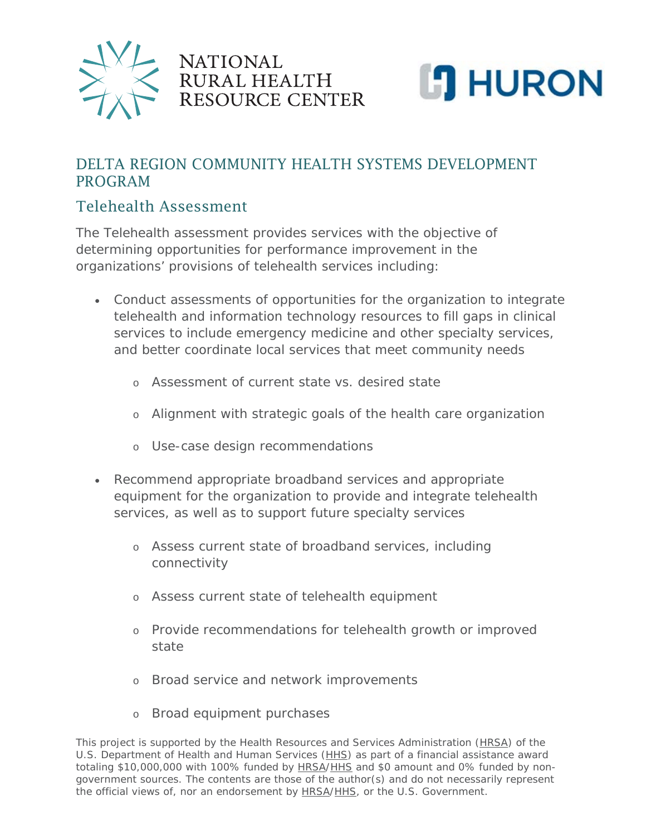



## DELTA REGION COMMUNITY HEALTH SYSTEMS DEVELOPMENT PROGRAM

## Telehealth Assessment

The Telehealth assessment provides services with the objective of determining opportunities for performance improvement in the organizations' provisions of telehealth services including:

**NATIONAL** 

RURAL HEALTH

RESOURCE CENTER

- Conduct assessments of opportunities for the organization to integrate telehealth and information technology resources to fill gaps in clinical services to include emergency medicine and other specialty services, and better coordinate local services that meet community needs
	- o Assessment of current state vs. desired state
	- o Alignment with strategic goals of the health care organization
	- o Use-case design recommendations
- Recommend appropriate broadband services and appropriate equipment for the organization to provide and integrate telehealth services, as well as to support future specialty services
	- o Assess current state of broadband services, including connectivity
	- o Assess current state of telehealth equipment
	- o Provide recommendations for telehealth growth or improved state
	- o Broad service and network improvements
	- o Broad equipment purchases

*This project is supported by the Health Resources and Services Administration [\(HRSA\)](https://www.ruralcenter.org/category/lexicon/hrsa) of the U.S. Department of Health and Human Services [\(HHS\)](https://www.ruralcenter.org/category/lexicon/hhs) as part of a financial assistance award totaling \$10,000,000 with 100% funded by [HRSA](https://www.ruralcenter.org/category/lexicon/hrsa)[/HHS](https://www.ruralcenter.org/category/lexicon/hhs) and \$0 amount and 0% funded by nongovernment sources. The contents are those of the author(s) and do not necessarily represent the official views of, nor an endorsement by [HRSA/](https://www.ruralcenter.org/category/lexicon/hrsa)[HHS,](https://www.ruralcenter.org/category/lexicon/hhs) or the U.S. Government.*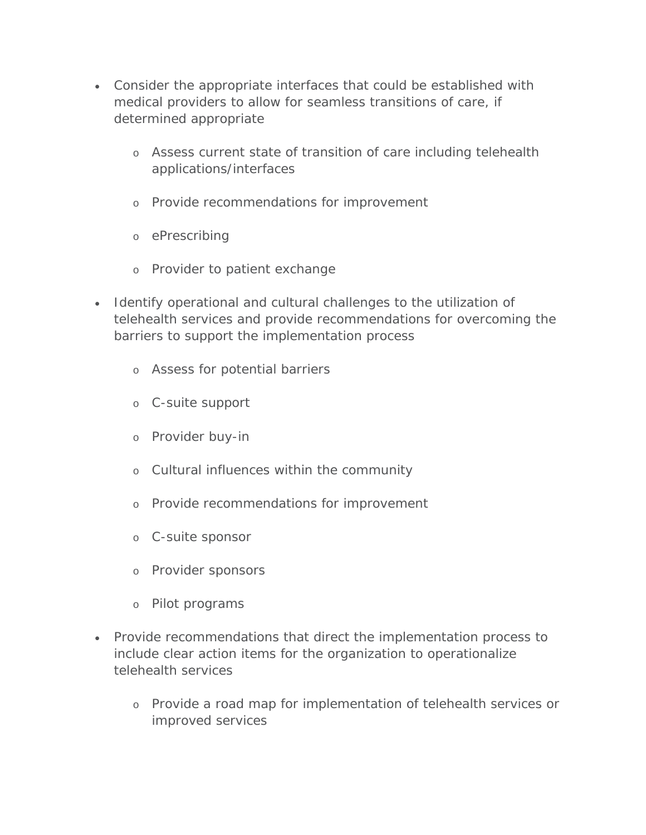- Consider the appropriate interfaces that could be established with medical providers to allow for seamless transitions of care, if determined appropriate
	- o Assess current state of transition of care including telehealth applications/interfaces
	- o Provide recommendations for improvement
	- o ePrescribing
	- o Provider to patient exchange
- Identify operational and cultural challenges to the utilization of telehealth services and provide recommendations for overcoming the barriers to support the implementation process
	- o Assess for potential barriers
	- o C-suite support
	- o Provider buy-in
	- o Cultural influences within the community
	- o Provide recommendations for improvement
	- o C-suite sponsor
	- o Provider sponsors
	- o Pilot programs
- Provide recommendations that direct the implementation process to include clear action items for the organization to operationalize telehealth services
	- o Provide a road map for implementation of telehealth services or improved services